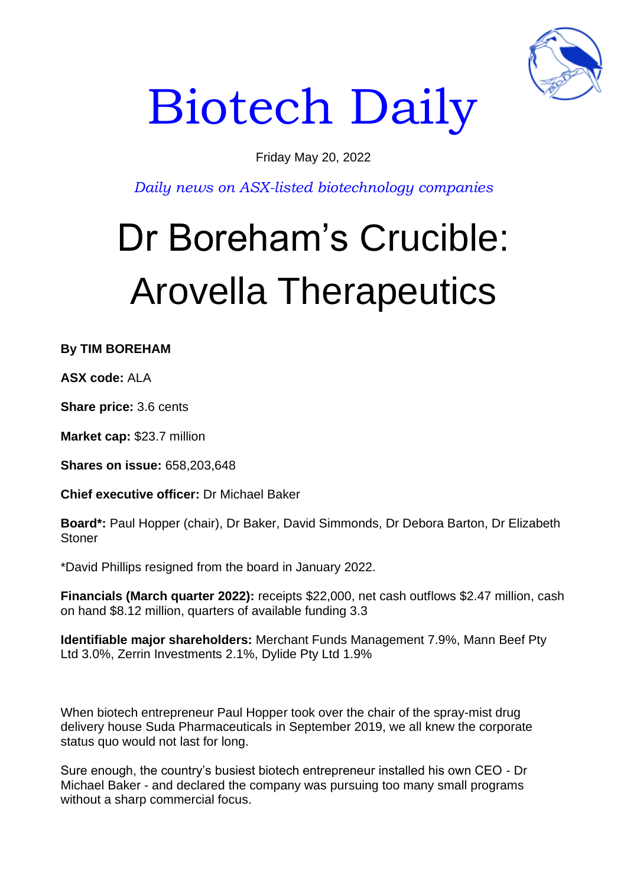

# Biotech Daily

### Friday May 20, 2022

*Daily news on ASX-listed biotechnology companies*

## Dr Boreham's Crucible: Arovella Therapeutics

**By TIM BOREHAM** 

**ASX code:** ALA

**Share price:** 3.6 cents

**Market cap:** \$23.7 million

**Shares on issue:** 658,203,648

**Chief executive officer:** Dr Michael Baker

**Board\*:** Paul Hopper (chair), Dr Baker, David Simmonds, Dr Debora Barton, Dr Elizabeth **Stoner** 

\*David Phillips resigned from the board in January 2022.

**Financials (March quarter 2022):** receipts \$22,000, net cash outflows \$2.47 million, cash on hand \$8.12 million, quarters of available funding 3.3

**Identifiable major shareholders:** Merchant Funds Management 7.9%, Mann Beef Pty Ltd 3.0%, Zerrin Investments 2.1%, Dylide Pty Ltd 1.9%

When biotech entrepreneur Paul Hopper took over the chair of the spray-mist drug delivery house Suda Pharmaceuticals in September 2019, we all knew the corporate status quo would not last for long.

Sure enough, the country's busiest biotech entrepreneur installed his own CEO - Dr Michael Baker - and declared the company was pursuing too many small programs without a sharp commercial focus.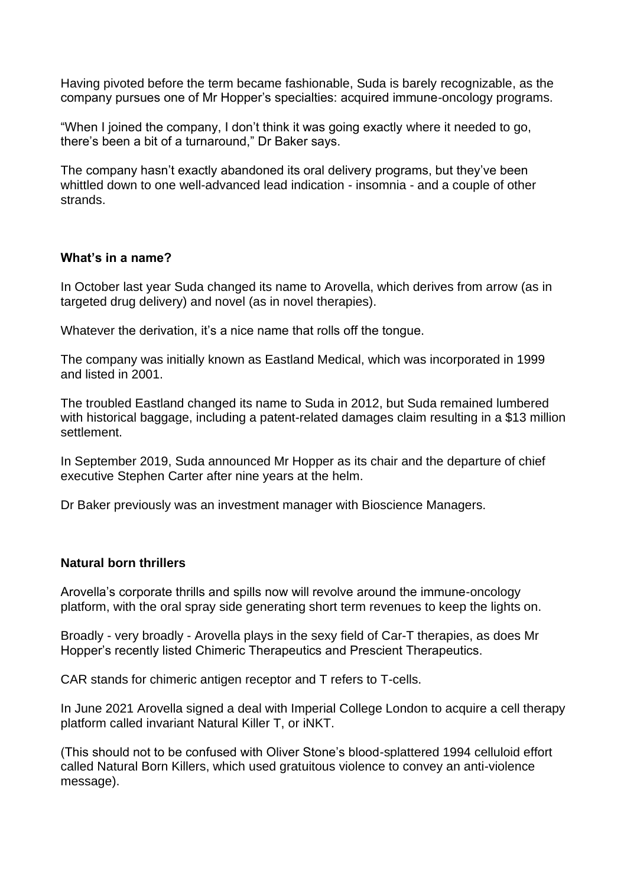Having pivoted before the term became fashionable, Suda is barely recognizable, as the company pursues one of Mr Hopper's specialties: acquired immune-oncology programs.

"When I joined the company, I don't think it was going exactly where it needed to go, there's been a bit of a turnaround," Dr Baker says.

The company hasn't exactly abandoned its oral delivery programs, but they've been whittled down to one well-advanced lead indication - insomnia - and a couple of other strands.

#### **What's in a name?**

In October last year Suda changed its name to Arovella, which derives from arrow (as in targeted drug delivery) and novel (as in novel therapies).

Whatever the derivation, it's a nice name that rolls off the tongue.

The company was initially known as Eastland Medical, which was incorporated in 1999 and listed in 2001.

The troubled Eastland changed its name to Suda in 2012, but Suda remained lumbered with historical baggage, including a patent-related damages claim resulting in a \$13 million settlement.

In September 2019, Suda announced Mr Hopper as its chair and the departure of chief executive Stephen Carter after nine years at the helm.

Dr Baker previously was an investment manager with Bioscience Managers.

#### **Natural born thrillers**

Arovella's corporate thrills and spills now will revolve around the immune-oncology platform, with the oral spray side generating short term revenues to keep the lights on.

Broadly - very broadly - Arovella plays in the sexy field of Car-T therapies, as does Mr Hopper's recently listed Chimeric Therapeutics and Prescient Therapeutics.

CAR stands for chimeric antigen receptor and T refers to T-cells.

In June 2021 Arovella signed a deal with Imperial College London to acquire a cell therapy platform called invariant Natural Killer T, or iNKT.

(This should not to be confused with Oliver Stone's blood-splattered 1994 celluloid effort called Natural Born Killers, which used gratuitous violence to convey an anti-violence message).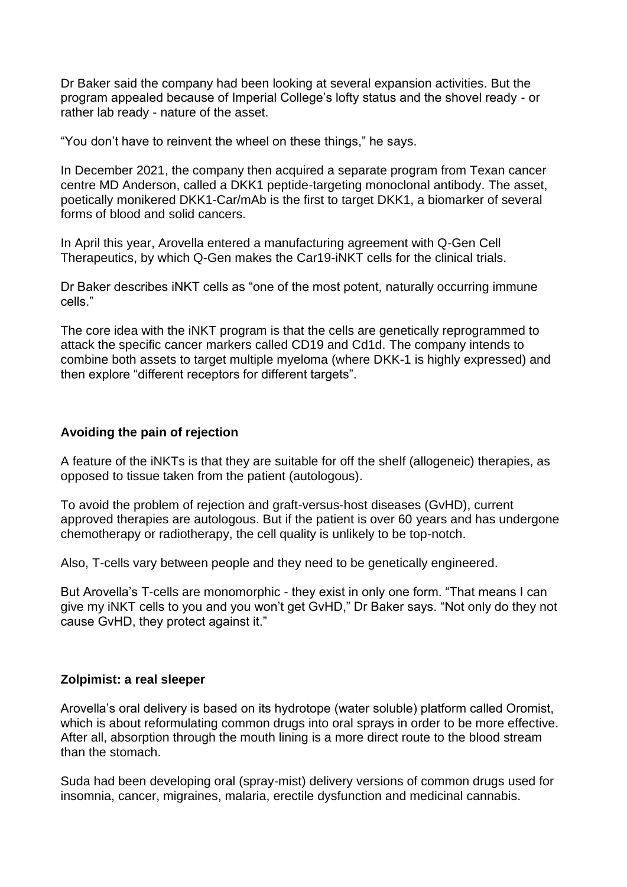Dr Baker said the company had been looking at several expansion activities. But the program appealed because of Imperial College's lofty status and the shovel ready - or rather lab ready - nature of the asset.

"You don't have to reinvent the wheel on these things," he says.

In December 2021, the company then acquired a separate program from Texan cancer centre MD Anderson, called a DKK1 peptide-targeting monoclonal antibody. The asset, poetically monikered DKK1-Car/mAb is the first to target DKK1, a biomarker of several forms of blood and solid cancers.

In April this year, Arovella entered a manufacturing agreement with Q-Gen Cell Therapeutics, by which Q-Gen makes the Car19-iNKT cells for the clinical trials.

Dr Baker describes iNKT cells as "one of the most potent, naturally occurring immune cells."

The core idea with the iNKT program is that the cells are genetically reprogrammed to attack the specific cancer markers called CD19 and Cd1d. The company intends to combine both assets to target multiple myeloma (where DKK-1 is highly expressed) and then explore "different receptors for different targets".

#### **Avoiding the pain of rejection**

A feature of the iNKTs is that they are suitable for off the shelf (allogeneic) therapies, as opposed to tissue taken from the patient (autologous).

To avoid the problem of rejection and graft-versus-host diseases (GvHD), current approved therapies are autologous. But if the patient is over 60 years and has undergone chemotherapy or radiotherapy, the cell quality is unlikely to be top-notch.

Also, T-cells vary between people and they need to be genetically engineered.

But Arovella's T-cells are monomorphic - they exist in only one form. "That means I can give my iNKT cells to you and you won't get GvHD," Dr Baker says. "Not only do they not cause GvHD, they protect against it."

#### **Zolpimist: a real sleeper**

Arovella's oral delivery is based on its hydrotope (water soluble) platform called Oromist, which is about reformulating common drugs into oral sprays in order to be more effective. After all, absorption through the mouth lining is a more direct route to the blood stream than the stomach.

Suda had been developing oral (spray-mist) delivery versions of common drugs used for insomnia, cancer, migraines, malaria, erectile dysfunction and medicinal cannabis.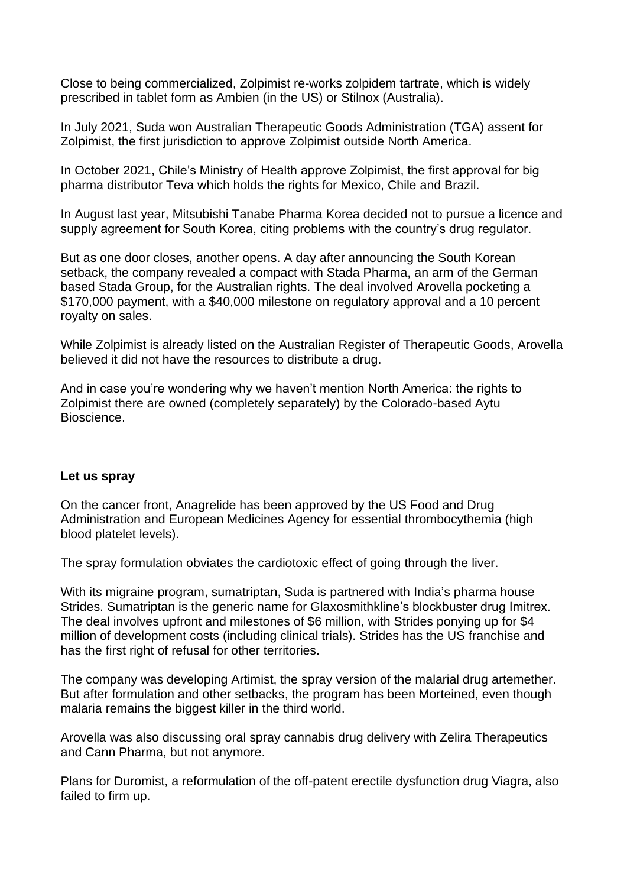Close to being commercialized, Zolpimist re-works zolpidem tartrate, which is widely prescribed in tablet form as Ambien (in the US) or Stilnox (Australia).

In July 2021, Suda won Australian Therapeutic Goods Administration (TGA) assent for Zolpimist, the first jurisdiction to approve Zolpimist outside North America.

In October 2021, Chile's Ministry of Health approve Zolpimist, the first approval for big pharma distributor Teva which holds the rights for Mexico, Chile and Brazil.

In August last year, Mitsubishi Tanabe Pharma Korea decided not to pursue a licence and supply agreement for South Korea, citing problems with the country's drug regulator.

But as one door closes, another opens. A day after announcing the South Korean setback, the company revealed a compact with Stada Pharma, an arm of the German based Stada Group, for the Australian rights. The deal involved Arovella pocketing a \$170,000 payment, with a \$40,000 milestone on regulatory approval and a 10 percent royalty on sales.

While Zolpimist is already listed on the Australian Register of Therapeutic Goods, Arovella believed it did not have the resources to distribute a drug.

And in case you're wondering why we haven't mention North America: the rights to Zolpimist there are owned (completely separately) by the Colorado-based Aytu Bioscience.

#### **Let us spray**

On the cancer front, Anagrelide has been approved by the US Food and Drug Administration and European Medicines Agency for essential thrombocythemia (high blood platelet levels).

The spray formulation obviates the cardiotoxic effect of going through the liver.

With its migraine program, sumatriptan, Suda is partnered with India's pharma house Strides. Sumatriptan is the generic name for Glaxosmithkline's blockbuster drug Imitrex. The deal involves upfront and milestones of \$6 million, with Strides ponying up for \$4 million of development costs (including clinical trials). Strides has the US franchise and has the first right of refusal for other territories.

The company was developing Artimist, the spray version of the malarial drug artemether. But after formulation and other setbacks, the program has been Morteined, even though malaria remains the biggest killer in the third world.

Arovella was also discussing oral spray cannabis drug delivery with Zelira Therapeutics and Cann Pharma, but not anymore.

Plans for Duromist, a reformulation of the off-patent erectile dysfunction drug Viagra, also failed to firm up.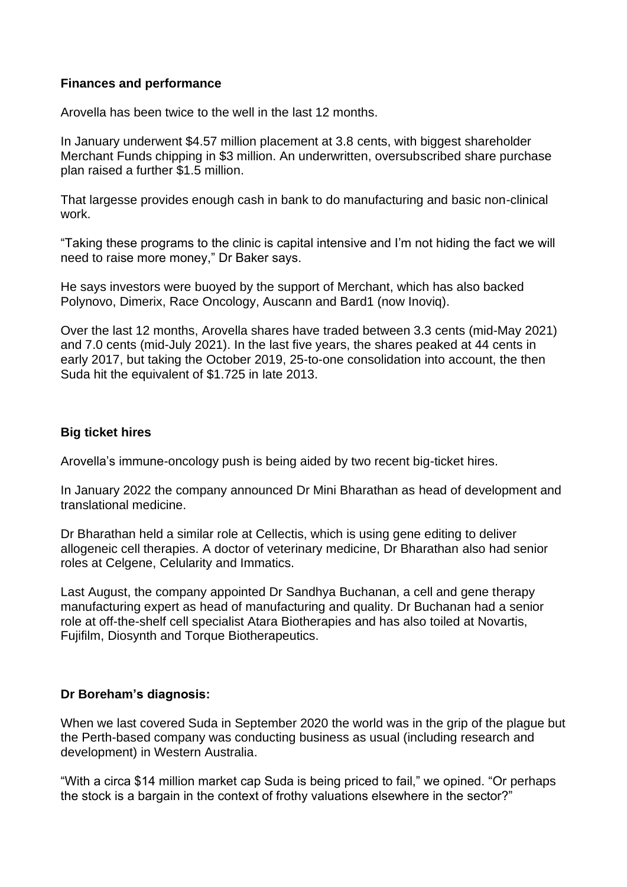#### **Finances and performance**

Arovella has been twice to the well in the last 12 months.

In January underwent \$4.57 million placement at 3.8 cents, with biggest shareholder Merchant Funds chipping in \$3 million. An underwritten, oversubscribed share purchase plan raised a further \$1.5 million.

That largesse provides enough cash in bank to do manufacturing and basic non-clinical work.

"Taking these programs to the clinic is capital intensive and I'm not hiding the fact we will need to raise more money," Dr Baker says.

He says investors were buoyed by the support of Merchant, which has also backed Polynovo, Dimerix, Race Oncology, Auscann and Bard1 (now Inoviq).

Over the last 12 months, Arovella shares have traded between 3.3 cents (mid-May 2021) and 7.0 cents (mid-July 2021). In the last five years, the shares peaked at 44 cents in early 2017, but taking the October 2019, 25-to-one consolidation into account, the then Suda hit the equivalent of \$1.725 in late 2013.

#### **Big ticket hires**

Arovella's immune-oncology push is being aided by two recent big-ticket hires.

In January 2022 the company announced Dr Mini Bharathan as head of development and translational medicine.

Dr Bharathan held a similar role at Cellectis, which is using gene editing to deliver allogeneic cell therapies. A doctor of veterinary medicine, Dr Bharathan also had senior roles at Celgene, Celularity and Immatics.

Last August, the company appointed Dr Sandhya Buchanan, a cell and gene therapy manufacturing expert as head of manufacturing and quality. Dr Buchanan had a senior role at off-the-shelf cell specialist Atara Biotherapies and has also toiled at Novartis, Fujifilm, Diosynth and Torque Biotherapeutics.

#### **Dr Boreham's diagnosis:**

When we last covered Suda in September 2020 the world was in the grip of the plague but the Perth-based company was conducting business as usual (including research and development) in Western Australia.

"With a circa \$14 million market cap Suda is being priced to fail," we opined. "Or perhaps the stock is a bargain in the context of frothy valuations elsewhere in the sector?"